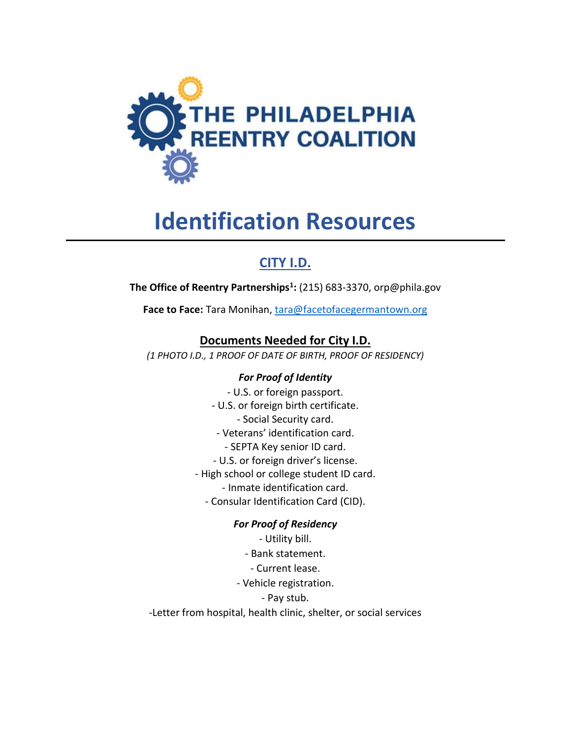

# **Identification Resources**

## **CITY I.D.**

**The Office of Reentry Partnerships<sup>1</sup> :** (215) 683-3370, orp@phila.gov

**Face to Face:** Tara Monihan, [tara@facetofacegermantown.org](mailto:tara@facetofacegermantown.org)

## **Documents Needed for City I.D.**

*(1 PHOTO I.D., 1 PROOF OF DATE OF BIRTH, PROOF OF RESIDENCY)*

#### *For Proof of Identity*

- U.S. or foreign passport. - U.S. or foreign birth certificate. - Social Security card. - Veterans' identification card. - SEPTA Key senior ID card. - U.S. or foreign driver's license. - High school or college student ID card. - Inmate identification card. - Consular Identification Card (CID).

#### *For Proof of Residency*

- Utility bill. - Bank statement. - Current lease. - Vehicle registration. - Pay stub. -Letter from hospital, health clinic, shelter, or social services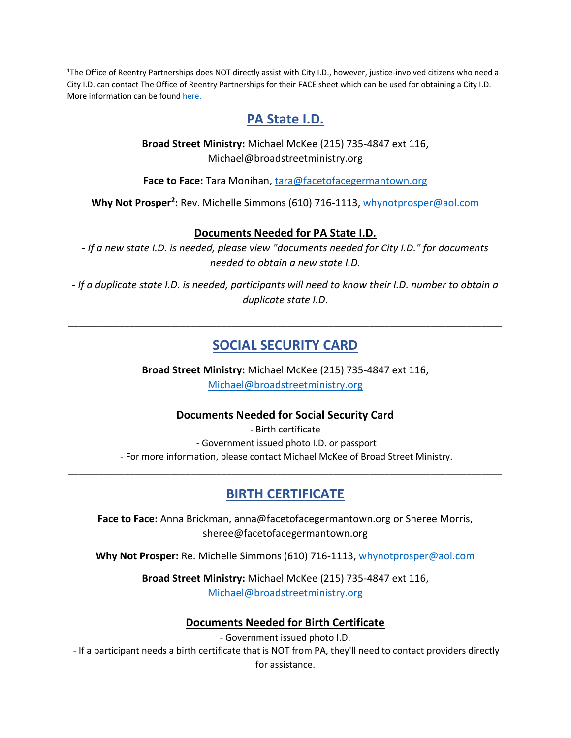<sup>1</sup>The Office of Reentry Partnerships does NOT directly assist with City I.D., however, justice-involved citizens who need a City I.D. can contact The Office of Reentry Partnerships for their FACE sheet which can be used for obtaining a City I.D. More information can be found [here.](https://www.phila.gov/programs/phl-city-id/)

## **PA State I.D.**

**Broad Street Ministry:** Michael McKee (215) 735-4847 ext 116, Michael@broadstreetministry.org

**Face to Face:** Tara Monihan[, tara@facetofacegermantown.org](mailto:tara@facetofacegermantown.org)

**Why Not Prosper<sup>2</sup> :** Rev. Michelle Simmons (610) 716-1113, [whynotprosper@aol.com](mailto:whynotprosper@aol.com)

#### **Documents Needed for PA State I.D.**

*- If a new state I.D. is needed, please view "documents needed for City I.D." for documents needed to obtain a new state I.D.*

*- If a duplicate state I.D. is needed, participants will need to know their I.D. number to obtain a duplicate state I.D*.

## **SOCIAL SECURITY CARD**

\_\_\_\_\_\_\_\_\_\_\_\_\_\_\_\_\_\_\_\_\_\_\_\_\_\_\_\_\_\_\_\_\_\_\_\_\_\_\_\_\_\_\_\_\_\_\_\_\_\_\_\_\_\_\_\_\_\_\_\_\_\_\_\_\_\_\_\_\_\_\_\_\_\_\_\_\_\_\_\_\_\_\_\_\_

**Broad Street Ministry:** Michael McKee (215) 735-4847 ext 116, [Michael@broadstreetministry.org](mailto:Michael@broadstreetministry.org)

#### **Documents Needed for Social Security Card**

- Birth certificate - Government issued photo I.D. or passport - For more information, please contact Michael McKee of Broad Street Ministry.

## **BIRTH CERTIFICATE**

\_\_\_\_\_\_\_\_\_\_\_\_\_\_\_\_\_\_\_\_\_\_\_\_\_\_\_\_\_\_\_\_\_\_\_\_\_\_\_\_\_\_\_\_\_\_\_\_\_\_\_\_\_\_\_\_\_\_\_\_\_\_\_\_\_\_\_\_\_\_\_\_\_\_\_\_\_\_\_\_\_\_\_\_\_

**Face to Face:** Anna Brickman, anna@facetofacegermantown.org or Sheree Morris, sheree@facetofacegermantown.org

**Why Not Prosper:** Re. Michelle Simmons (610) 716-1113, [whynotprosper@aol.com](mailto:whynotprosper@aol.com) 

**Broad Street Ministry:** Michael McKee (215) 735-4847 ext 116, [Michael@broadstreetministry.org](mailto:Michael@broadstreetministry.org)

#### **Documents Needed for Birth Certificate**

- Government issued photo I.D.

- If a participant needs a birth certificate that is NOT from PA, they'll need to contact providers directly for assistance.